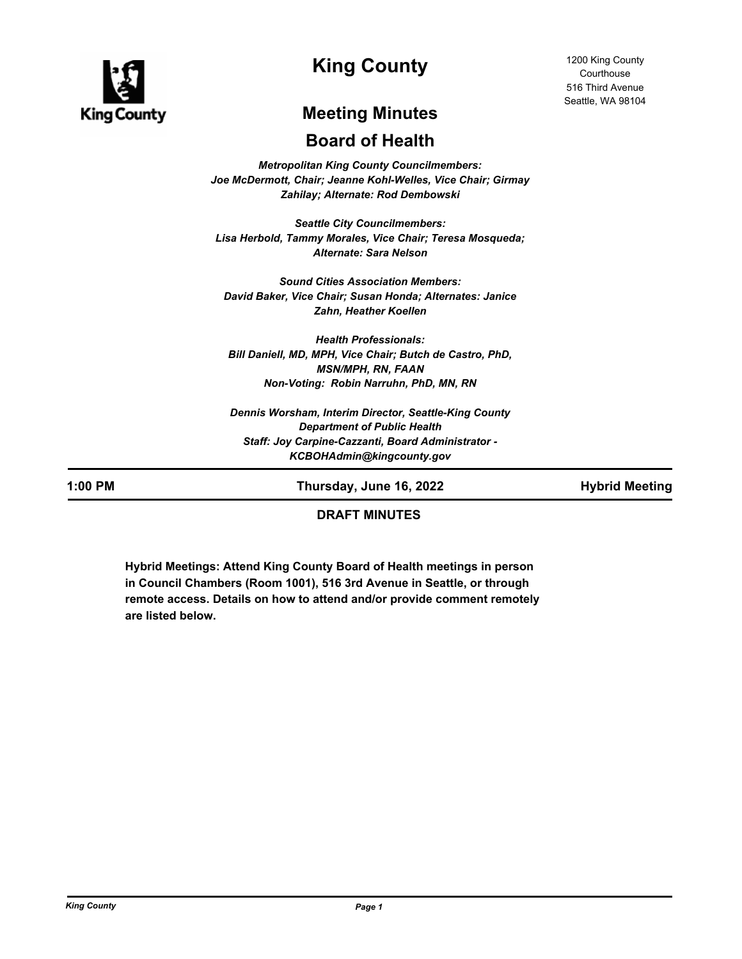

# **King County**

1200 King County **Courthouse** 516 Third Avenue Seattle, WA 98104

# **Meeting Minutes**

# **Board of Health**

*Metropolitan King County Councilmembers: Joe McDermott, Chair; Jeanne Kohl-Welles, Vice Chair; Girmay Zahilay; Alternate: Rod Dembowski*

*Seattle City Councilmembers: Lisa Herbold, Tammy Morales, Vice Chair; Teresa Mosqueda; Alternate: Sara Nelson*

*Sound Cities Association Members: David Baker, Vice Chair; Susan Honda; Alternates: Janice Zahn, Heather Koellen*

*Health Professionals: Bill Daniell, MD, MPH, Vice Chair; Butch de Castro, PhD, MSN/MPH, RN, FAAN Non-Voting: Robin Narruhn, PhD, MN, RN*

*Dennis Worsham, Interim Director, Seattle-King County Department of Public Health Staff: Joy Carpine-Cazzanti, Board Administrator - KCBOHAdmin@kingcounty.gov*

**1:00 PM Thursday, June 16, 2022 Hybrid Meeting**

# **DRAFT MINUTES**

**Hybrid Meetings: Attend King County Board of Health meetings in person in Council Chambers (Room 1001), 516 3rd Avenue in Seattle, or through remote access. Details on how to attend and/or provide comment remotely are listed below.**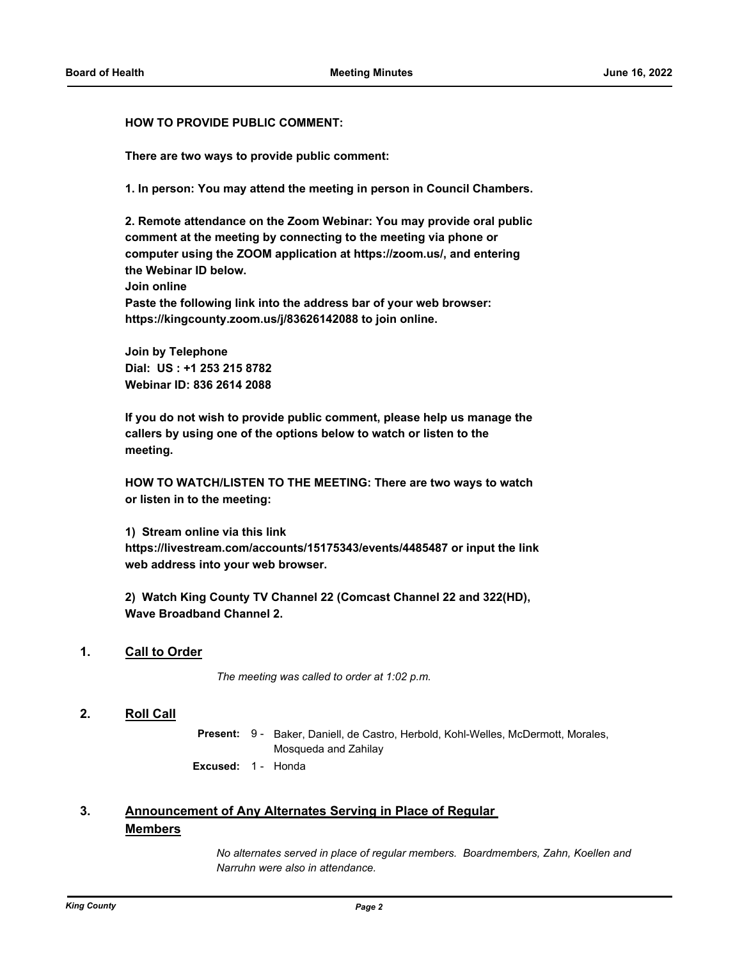#### **HOW TO PROVIDE PUBLIC COMMENT:**

**There are two ways to provide public comment:**

**1. In person: You may attend the meeting in person in Council Chambers.**

**2. Remote attendance on the Zoom Webinar: You may provide oral public comment at the meeting by connecting to the meeting via phone or computer using the ZOOM application at https://zoom.us/, and entering the Webinar ID below. Join online Paste the following link into the address bar of your web browser:** 

**https://kingcounty.zoom.us/j/83626142088 to join online.**

**Join by Telephone Dial: US : +1 253 215 8782 Webinar ID: 836 2614 2088**

**If you do not wish to provide public comment, please help us manage the callers by using one of the options below to watch or listen to the meeting.**

**HOW TO WATCH/LISTEN TO THE MEETING: There are two ways to watch or listen in to the meeting:**

**1) Stream online via this link** 

**https://livestream.com/accounts/15175343/events/4485487 or input the link web address into your web browser.**

**2) Watch King County TV Channel 22 (Comcast Channel 22 and 322(HD), Wave Broadband Channel 2.**

### **1. Call to Order**

*The meeting was called to order at 1:02 p.m.*

## **2. Roll Call**

Present: 9 - Baker, Daniell, de Castro, Herbold, Kohl-Welles, McDermott, Morales, Mosqueda and Zahilay

**Excused:** 1 - Honda

#### **Announcement of Any Alternates Serving in Place of Regular Members 3.**

*No alternates served in place of regular members. Boardmembers, Zahn, Koellen and Narruhn were also in attendance.*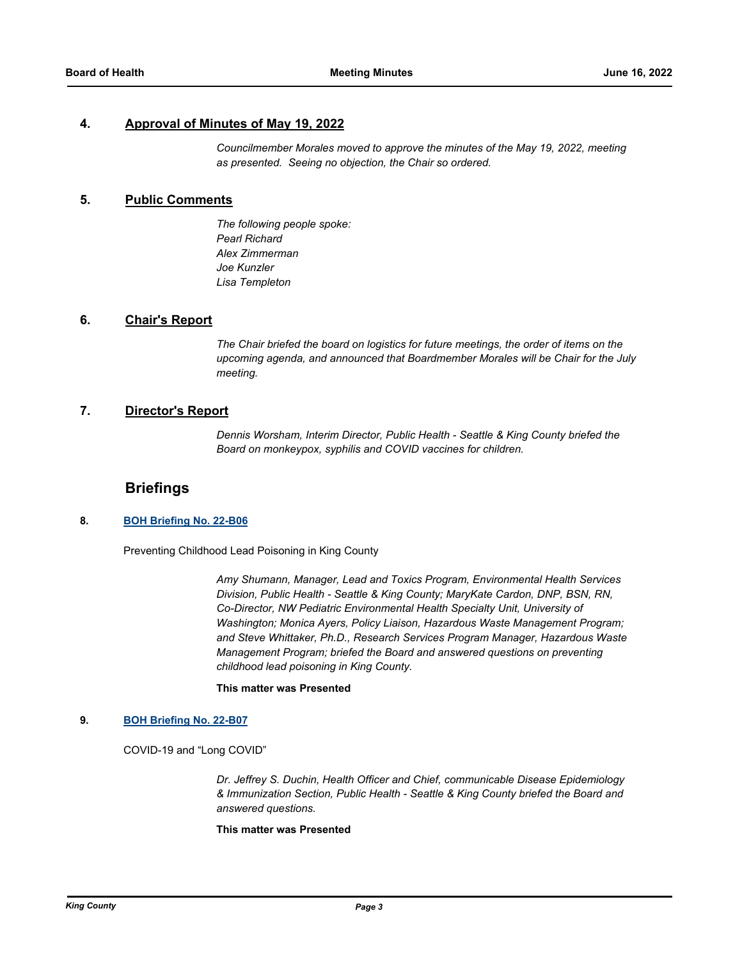#### **4. Approval of Minutes of May 19, 2022**

*Councilmember Morales moved to approve the minutes of the May 19, 2022, meeting as presented. Seeing no objection, the Chair so ordered.*

## **5. Public Comments**

*The following people spoke: Pearl Richard Alex Zimmerman Joe Kunzler Lisa Templeton*

# **6. Chair's Report**

*The Chair briefed the board on logistics for future meetings, the order of items on the upcoming agenda, and announced that Boardmember Morales will be Chair for the July meeting.*

#### **7. Director's Report**

*Dennis Worsham, Interim Director, Public Health - Seattle & King County briefed the Board on monkeypox, syphilis and COVID vaccines for children.*

# **Briefings**

#### **8. [BOH Briefing No. 22-B06](http://kingcounty.legistar.com/gateway.aspx?m=l&id=/matter.aspx?key=23162)**

Preventing Childhood Lead Poisoning in King County

*Amy Shumann, Manager, Lead and Toxics Program, Environmental Health Services Division, Public Health - Seattle & King County; MaryKate Cardon, DNP, BSN, RN, Co-Director, NW Pediatric Environmental Health Specialty Unit, University of Washington; Monica Ayers, Policy Liaison, Hazardous Waste Management Program; and Steve Whittaker, Ph.D., Research Services Program Manager, Hazardous Waste Management Program; briefed the Board and answered questions on preventing childhood lead poisoning in King County.*

#### **This matter was Presented**

#### **9. [BOH Briefing No. 22-B07](http://kingcounty.legistar.com/gateway.aspx?m=l&id=/matter.aspx?key=23163)**

COVID-19 and "Long COVID"

*Dr. Jeffrey S. Duchin, Health Officer and Chief, communicable Disease Epidemiology & Immunization Section, Public Health - Seattle & King County briefed the Board and answered questions.*

#### **This matter was Presented**